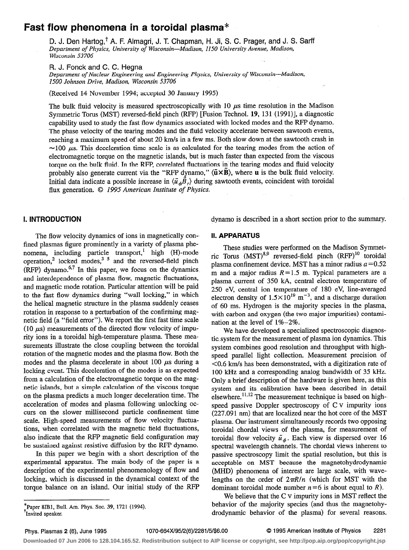# Fast flow phenomena in a toroidal plasma\*

D. J. Den Hartog,<sup>†</sup> A. F. Almagri, J. T. Chapman, H. Ji, S. C. Prager, and J. S. Sarff Departinent of Physics, University of Wisconsin-Madison, 1150 University Avenue, Madison, Wisconsin 53706

R. J. Fonck and C. C. Hegna

Department of Nuclear Engineering and Engineering Physics, University of Wisconsin-Madison, 1500 Johnson Drive, Madison, Wisconsin 53706

(Received 14 November 1994; accepted 30 January 1995)

The bulk fluid velocity is measured spectroscopically with 10  $\mu$ s time resolution in the Madison Symmetric Torus (MST) reversed-field pinch (RFP) [Fusion Technol. 19, 13 1 (1991)], a diagnostic capability used to study the fast flow dynamics associated with locked modes and the RFP dynamo. The phase velocity of the tearing modes and the fluid velocity accelerate between sawtooth events, reaching a maximum speed of about 20 km/s in a few ms. Both slow down at the sawtooth crash in  $\approx$ 100  $\mu$ s. This deceleration time scale is as calculated for the tearing modes from the action of electromagnetic torque on the magnetic islands, but is much faster than expected from the viscous torque on the bulk fluid. In the RFP, correlated fluctuations in the tearing modes and fluid velocity probably also generate current via the "RFP dynamo,"  $\langle \tilde{u} \times B \rangle$ , where u is the bulk fluid velocity. Initial data indicate a possible increase in  $\langle \tilde{u}_A \tilde{B}_\tau \rangle$  during sawtooth events, coincident with toroidal flux generation. © 1995 American Institute of Physics.

1. INTRODUCTION dynamo is described in a short section prior to the summary.

The flow velocity dynamics of ions in magnetically confined plasmas figure prominently in a variety of plasma phenomena, including particle transport,' high (H)-mode operation, locked modes,<sup>3-3</sup> and the reversed-field pinch  $(RFP)$  dynamo.<sup>6,7</sup> In this paper, we focus on the dynamics and interdependence of plasma flow, magnetic fluctuations, and magnetic mode rotation. Particular attention will be paid to the fast flow dynamics during "wall locking," in which the helical magnetic structure in the plasma suddenly ceases rotation in response to a perturbation of the confirming magnetic field (a "field error"). We report the first fast time scale (10  $\mu$ s) measurements of the directed flow velocity of impurity ions in a toroidal high-temperature plasma. These measurements illustrate the close coupling between the toroidal rotation of the magnetic modes and the plasma flow. Both the modes and the plasma decelerate in about 100  $\mu$ s during a locking event. This deceleration of the modes is as expected from a calculation of the electromagnetic torque on the magnetic islands, but a simple calculation of the viscous torque on the plasma predicts a much longer deceleration time. The acceleration of modes and plasma following unlocking occurs on the slower millisecond particle confinement time scale. High-speed measurements of flow velocity fluctuations, when correlated with the magnetic field fluctuations, also indicate that the RFP magnetic field configuration may be sustained against resistive diffusion by the RFP dynamo.

In this paper we begin with a short description of the experimental apparatus. The main body of the paper is a description of the experimental phenomenology of flow and locking, which is discussed in the dynamical context of the torque balance on an island. Our initial study of the RFP II. APPARATUS

These studies were performed on the Madison Symmetric Torus  $(MST)^{8,9}$  reversed-field pinch  $(RFP)^{10}$  toroidal plasma confinement device. MST has a minor radius  $a = 0.52$ m and a major radius  $R=1.5$  m. Typical parameters are a plasma current of 350 kA, central electron temperature of 250 eV, central ion temperature of 180 eV, line-averaged electron density of  $1.5 \times 10^{19}$  m<sup>-3</sup>, and a discharge duration of 60 ms. Hydrogen is the majority species in the plasma, with carbon and oxygen (the two major impurities) contamination at the level of l%-2%.

We have developed a specialized spectroscopic diagnostic, system for the measurement of plasma ion dynamics. This system combines good resolution and throughput with highspeed parallel light collection. Measurement precision of CO.6 km/s has been demonstrated, with a digitization rate of 100 kHz and a corresponding analog bandwidth of 35 kHz. Only a brief description of the hardware is given here, as this system and its calibration have been described in detail elsewhere.<sup>11,12</sup> The measurement technique is based on highspeed passive Doppler spectroscopy of C v impurity ions (227.091 nm) that are localized near the hot core of the MST plasma. Our instrument simultaneously records two opposing toroidal chordal views of the plasma, for measurement of toroidal flow velocity  $\tilde{u}_{\phi}$ . Each view is dispersed over 16 spectral wavelength channels. The chordal views inherent to passive spectroscopy limit the spatial resolution, but this is acceptable on MST because the magnetohydrodynamic (MHD) phenomena of interest are large scale, with wavelengths on the order of  $2\pi R/n$  (which for MST with the dominant toroidal mode number  $n=6$  is about equal to R).

We believe that the C v impurity ions in MST refect the behavior of the majority species (and thus the magnetohydrodynamic behavior of the plasma) for several reasons.

<sup>\*</sup>Paper 8IB1, Bull. Am. Phys. Sot. 39, 1721 (1994). 'Invited speaker.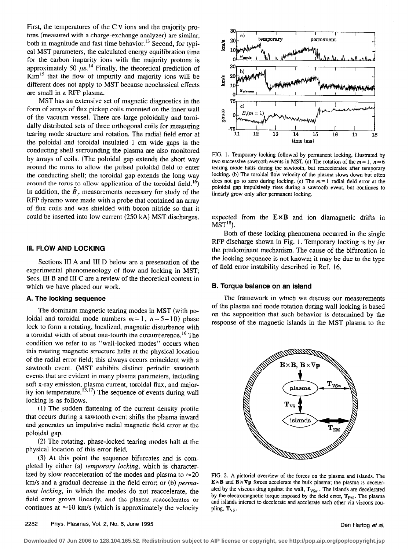First, the temperatures of the C v ions and the majority protons (measured with a charge-exchange analyzer) are similar, both in magnitude and fast time behavior.<sup>13</sup> Second, for typical MST parameters, the calculated energy equilibration time for the carbon impurity ions with the majority protons is approximately 50  $\mu$ s.<sup>14</sup> Finally, the theoretical prediction of  $Kim<sup>15</sup> that the flow of impurity and majority ions will be$ different does not apply to MST because neoclassical effects are small in a RFP plasma.

MST has an extensive set of magnetic diagnostics in the form of arrays of flux pickup coils mounted on the inner wall of the vacuum vessel. There are large poloidally and toroidally distributed sets of three orthogonal coils for measuring tearing mode structure and rotation. The radial field error at the poloidal and toroidal insulated 1 cm wide gaps in the conducting shell surrounding the plasma are also monitored by arrays of coils. (The poloidal gap extends the short way around the torus to allow the pulsed poloidal field to enter the conducting shell; the toroidal gap extends the long way around the torus to allow application of the toroidal field.<sup>16</sup>) In addition, the  $\ddot{B}_r$ , measurements necessary for study of the RFP dynamo were made with a probe that contained an array of flux coils and was shielded with boron nitride so that it could be inserted into low current (250 kA) MST discharges.

#### **III. FLOW AND LOCKING**

Sections III A and III D below are a presentation of the experimental phenomenology of flow and locking in MST; Secs. III B and III C are a review of the theoretical context in which we have placed our work.

### A. The locking sequence

The dominant magnetic tearing modes in MST (with poloidal and toroidal mode numbers  $m=1$ ,  $n=5-10$ ) phase lock to form a rotating, localized, magnetic disturbance with a toroidal width of about one-fourth the circumference.<sup>16</sup> The condition we refer to as "wall-locked modes" occurs when this rotating magnetic structure halts at the physical location of the radial error field; this always occurs coincident with a sawtooth event. (MST exhibits distinct periodic sawtooth events that are evident in many plasma parameters, including soft x-ray emission, plasma current, toroidal flux, and majority ion temperature.  $t_{3,17}$ ) The sequence of events during wall locking is as follows.

(1) The sudden flattening of the current density profile that occurs during a sawtooth event shifts the plasma inward and generates an impulsive radial magnetic field error at the poloidal gap.

(2) The rotating, phase-locked tearing modes halt at the physical location of this error field.

(3) At this point the sequence bifurcates and is completed by either (a) temporary locking, which is characterized by slow reacceleration of the modes and plasma to  $\approx 20$ km/s and a gradual decrease in the field error; or (b) permanent locking, in which the modes do not reaccelerate, the field error grows linearly, and the plasma reaccelerates or continues at  $\approx$ 10 km/s (which is approximately the velocity



FIG. 1. Temporary locking followed by permanent locking, illustrated by two successive sawtooth events in MST, (a) The rotation of the  $m = 1$ ,  $n = 6$ tearing mode halts during the sawtooth, but reaccelerates after temporary locking. (b) The toroidal flow velocity of the plasma slows down but often does not go to zero during locking. (c) The  $m=1$  radial field error at the poloidal gap impulsively rises during a sawtooth event, but continues to linearly grow only after permanent locking.

expected from the  $E \times B$  and ion diamagnetic drifts in  $MST^{18}$ ).

Both of these locking phenomena occurred in the single RFP discharge shown in Fig. 1. Temporary locking is by far the predominant mechanism. The cause of the bifurcation in the locking sequence is not known; it may be due to the type of field error instability described in Ref. 16.

#### B. Torque balance on an island

The framework in which we discuss our measurements of the plasma and mode rotation during wall locking is based on the supposition that such behavior is determined by the response of the magnetic islands in the MST plasma to the



FIG. 2. A pictorial overview of the forces on the plasma and islands. The  $E \times B$  and  $\overline{B} \times \nabla p$  forces accelerate the bulk plasma; the plasma is decelerated by the viscous drag against the wall,  $T_{VSw}$ . The islands are decelerated by the electromagnetic torque imposed by the field error,  $T_{EM}$ . The plasma and islands interact to decelerate and accelerate each other via viscous coupling, T<sub>VS</sub>.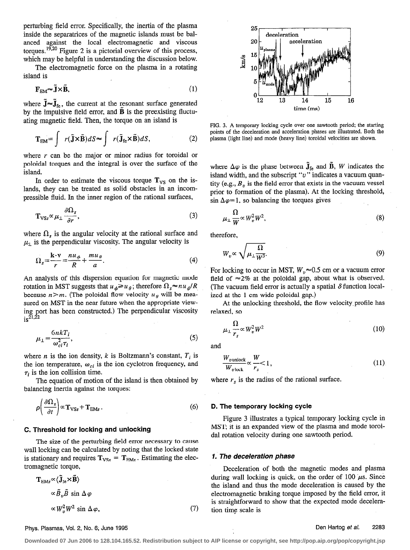perturbing field error. Specifically, the inertia of the plasma inside the separatrices of the magnetic islands must be balanced against the local electromagnetic and viscous torques.<sup>19,20</sup> Figure 2 is a pictorial overview of this process, which may be helpful in understanding the discussion below.

The electromagnetic force on the plasma in a rotating island is

$$
\mathbf{F}_{\text{EM}} \sim \tilde{\mathbf{J}} \times \tilde{\mathbf{B}},\tag{1}
$$

where  $\mathbf{J} \approx \mathbf{J}_{\text{fe}}$ , the current at the resonant surface generated by the impulsive field error, and  $\bf{B}$  is the preexisting fluctuating magnetic field. Then, the torque on an island is

$$
\mathbf{T}_{EM} = \int r(\tilde{\mathbf{J}} \times \tilde{\mathbf{B}}) dS \approx \int r(\tilde{\mathbf{J}}_{\text{fe}} \times \tilde{\mathbf{B}}) dS,
$$
 (2)

where  $r$  can be the major or minor radius for toroidal or poloidal torques and the integral is over the surface of the island.

In order to estimate the viscous torque  $T_{VS}$  on the islands, they can be treated as solid obstacles in an incompressible fluid. In the inner region of the rational surfaces,

$$
\mathbf{T}_{\text{VSS}} \propto \mu_{\perp} \frac{\partial \Omega_s}{\partial r},\tag{3}
$$

where  $\Omega_s$  is the angular velocity at the rational surface and  $\mu_{\perp}$  is the perpendicular viscosity. The angular velocity is

$$
\Omega_s = \frac{\mathbf{k} \cdot \mathbf{v}}{r} = \frac{n u_\phi}{R} + \frac{m u_\theta}{a}.
$$
\n(4)

An analysis of this dispersion equation for magnetic mode rotation in MST suggests that  $u_{\phi} \geq u_{\theta}$ ; therefore  $\Omega_s \approx nu_{\phi}/R$ because  $n>m$ . (The poloidal flow velocity  $u_{\theta}$  will be measured on MST in the near future when the appropriate viewing port has been constructed.) The perpendicular viscosity  $is^{\frac{5}{21,22}}$ 

$$
\mu_{\perp} = \frac{6nkT_i}{\omega_{ci}^2 \tau_i},\tag{5}
$$

where *n* is the ion density, *k* is Boltzmann's constant,  $T_i$  is the ion temperature,  $\omega_{ci}$  is the ion cyclotron frequency, and  $\tau_i$  is the ion collision time.

The equation of motion of the island is then obtained by balancing inertia against the torques:

$$
\rho \left( \frac{\partial \Omega_s}{\partial t} \right) \propto \mathbf{T}_{\text{VSS}} + \mathbf{T}_{\text{EMs}} \,. \tag{6}
$$

#### C. Threshold for locking and unlocking

The size of the perturbing field error necessary to cause wall locking can be calculated by noting that the locked state is stationary and requires  $T_{VSS} = T_{EMs}$ . Estimating the electromagnetic torque,

$$
\mathbf{T}_{\text{EMs}} \propto \langle \tilde{\mathbf{J}}_{\text{fe}} \times \tilde{\mathbf{B}} \rangle
$$
  
 
$$
\propto \tilde{B}_v \tilde{B} \sin \Delta \varphi
$$
  
 
$$
\propto W_v^2 W^2 \sin \Delta \varphi,
$$
 (7)



FIG. 3. A temporary locking cycle over one sawtooth period; the starting points of the deceleration and acceleration phases are illustrated. Both the plasma (light line) and mode (heavy line) toroidal velocities are shown.

where  $\Delta \varphi$  is the phase between  $\tilde{J}_{fe}$  and  $\tilde{B}$ , W indicates the island width, and the subscript " $v$ " indicates a vacuum quantity (e.g.,  $B<sub>v</sub>$  is the field error that exists in the vacuum vessel prior to formation of the plasma). At the locking threshold, sin  $\Delta \varphi = 1$ , so balancing the torques gives

$$
\mu_{\perp} \frac{\Omega}{W} \propto W_v^2 W^2,\tag{8}
$$

therefore,

$$
W_v \propto \sqrt{\mu_\perp \frac{\Omega}{W^3}}.\tag{9}
$$

For locking to occur in MST,  $W_p \approx 0.5$  cm or a vacuum error field of  $\approx$  2% at the poloidal gap, about what is observed. (The vacuum field error is actually a spatial  $\delta$  function localized at the 1 cm wide poloidal gap.)

At the unlocking threshold, the flow velocity,profile has relaxed, so

$$
\mu_{\perp} \frac{\Omega}{r_s} \propto W_v^2 W^2 \tag{10}
$$

and

$$
\frac{W_{v\text{ unlock}}}{W_{v\text{ lock}}}\propto\frac{W}{r_s}<1,\tag{11}
$$

where  $r<sub>s</sub>$  is the radius of the rational surface.

#### D. The temporary locking cycle

Figure 3 illustrates a typical temporary hocking cycle in MST; it is an expanded view of the plasma and mode toroida1 rotation velocity during one sawtooth period.

#### 1. The deceleration phase

Deceleration of both the magnetic modes and plasma during wall locking is quick, on the order of 100  $\mu$ s. Since the island and thus the mode deceleration is caused by the electromagnetic braking torque imposed by the field error, it is straightforward to show that the expected mode deceleration time scale is

#### Phys. Plasmas, Vol. 2, No. 6; June 1995 Den Hartog et al. 2283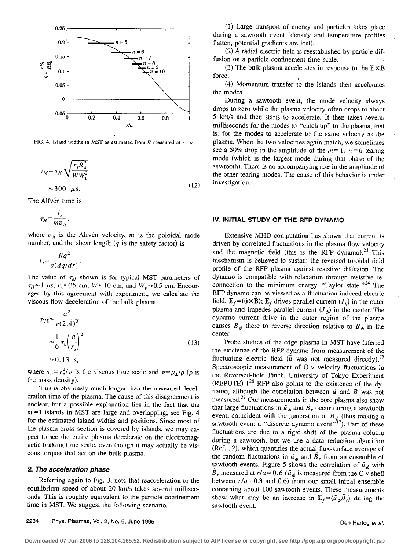

FIG. 4. Island widths in MST as estimated from  $\tilde{B}$  measured at  $r = a$ .

$$
\tau_M = \tau_H \sqrt{\frac{r_s R_0^2}{WW_v^2}}
$$
  

$$
\approx 300 \ \mu s.
$$
 (12)

The Alfvén time is

$$
\tau_H = \frac{l_s}{m v_A},
$$

where  $v_A$  is the Alfven velocity, m is the poloidal mode number, and the shear length  $(q$  is the safety factor) is

$$
l_s = \frac{Rq^2}{a(dq/dr)}.
$$

The value of  $\tau_M$  shown is for typical MST parameters of  $\tau_H \approx 1$  µs,  $r_s \approx 25$  cm,  $W \approx 10$  cm, and  $W_v \approx 0.5$  cm. Encouraged by this agreement with experiment, we calculate the viscous flow deceleration of the bulk plasma:

$$
\tau_{\text{VS}} \approx \frac{a^2}{\nu (2.4)^2}
$$
  
\n
$$
\approx \frac{1}{6} \tau_v \left(\frac{a}{r_s}\right)^2
$$
  
\n
$$
\approx 0.13 \text{ s},
$$
 (13)

where  $\tau_v = r_s^2/\nu$  is the viscous time scale and  $\nu = \mu_\perp/\rho$  ( $\rho$  is the mass density).

This is obviously much longer than the measured deceleration time of the plasma. The cause of this disagreement is unclear, but a possible explanation lies in the fact that the  $m=1$  islands in MST are large and overlapping; see Fig. 4 for the estimated island widths and positions. Since most of the plasma cross section is covered by islands, we may expect to see the entire plasma decelerate on the electromagnetic braking time scale, even though it may actually be viscous torques that act on the bulk plasma.

#### 2. The acceleration phase

Referring again to Fig. 3, note that reacceleration to the equilibrium speed of about 20 km/s takes several milliseconds. This is roughly equivalent to the particle confinement time in MST. We suggest the following scenario.

(1) Large transport of energy and particles takes place during a sawtooth event (density and temperature profiles flatten, potential gradients are lost}.

(2) A radial electric field is reestablished by particle diffusion on a particle confinement time scale.

(3) The bulk plasma accelerates in response to the  $E \times B$ force.

(4) Momentum transfer to the islands then accelerates the modes.

During a sawtooth event, the mode velocity always drops to zero while the plasma velocity often drops to about 5 km/s and then starts to accelerate. It then takes several milliseconds for the modes to "catch up" to the plasma, that is, for the modes to accelerate to the same velocity as the plasma. When the two velocities again match, we sometimes see a 50% drop in the amplitude of the  $m=1$ ,  $n=6$  tearing mode (which is the largest mode during that phase of the sawtooth). There is no accompanying rise in the amplitude of the other tearing modes. The cause of this behavior is under investigation.

#### IV. INITIAL STUDY OF THE RFP DYNAMO

Extensive MHD computation has shown that current is driven by correlated fluctuations in the plasma flow veIocity and the magnetic field (this is the RFP dynamo).<sup>23</sup> This mechanism is believed to sustain the reversed toroidal field profile of the RFP plasma against resistive diffusion. The dynamo is compatible with relaxation through resistive reconnection to the minimum energy "Taylor state."<sup>24</sup> The RFP dynamo can be viewed as a fluctuation-induced electric field,  $\mathbf{E}_f = (\tilde{\mathbf{u}} \times \mathbf{B})$ ;  $\mathbf{E}_f$  drives parallel current  $(J_{\theta})$  in the outer plasma and impedes parallel current  $(J_{\phi})$  in the center. The dynamo current drive in the outer region of the plasma causes  $B_{\phi}$  there to reverse direction relative to  $B_{\phi}$  in the center.

Probe studies of the edge plasma in MST have inferred the existence of the RFP dynamo from measurement of the fluctuating electric field ( $\tilde{u}$  was not measured directly).<sup>25</sup> Spectroscopic measurement of 0 V velocity fluctuations in the Reversed-field Pinch, University of Tokyo Experiment (REPUTE)- $1^{26}$  RFP also points to the existence of the dynamo, although the correlation between  $\tilde{u}$  and  $\tilde{B}$  was not measured.<sup>27</sup> Our measurements in the core plasma also show that large fluctuations in  $\tilde{u}_{\phi}$  and  $\tilde{B}_r$  occur during a sawtooth event, coincident with the generation of  $B_{\phi}$  (thus making a sawtooth event a "discrete dynamo event"<sup>17</sup>). Part of these fluctuations are due to a rigid shift of the plasma column during a sawtooth, but we use a data reduction algorithm (Ref. 12), which quantifies the actual\_ flux-surface average of the random fluctuations in  $\tilde{u}_{\phi}$  and  $B_r$  from an ensemble of sawtooth events. Figure 5 shows the correlation of  $\tilde{u}_d$  with  $B_r$  measured at  $r/a = 0.6$  ( $\tilde{u}_\phi$  is measured from the C v shell between  $r/a = 0.3$  and 0.6) from our small initial ensemble containing about 100 sawtooth events. These measurements show what may be an increase in  $\mathbf{E}_f = \langle \tilde{u}_\phi \tilde{B}_r \rangle$  during the sawtooth event.

2284 Phys. Plasmas, Vol. 2, No. 6, June 1995 **Den Hartog et al.** 2284 Phys. Plasmas, Vol. 2, No. 6, June 1995